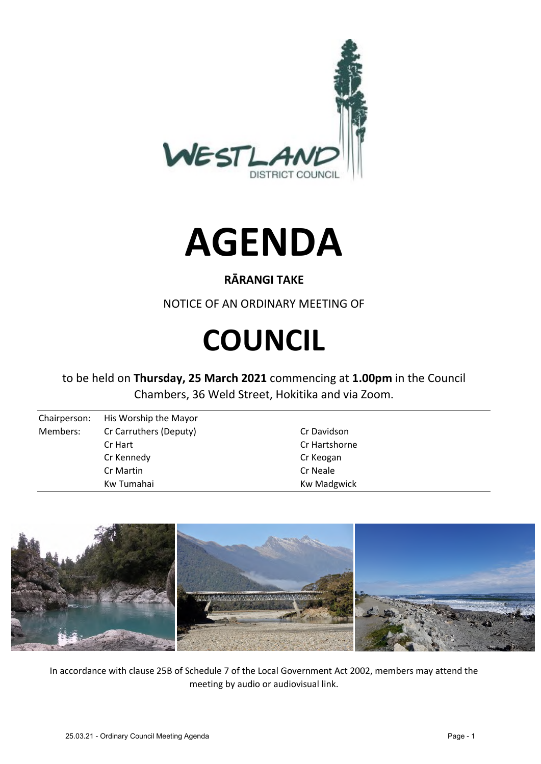



## **RĀRANGI TAKE**

NOTICE OF AN ORDINARY MEETING OF

# **COUNCIL**

to be held on **Thursday, 25 March 2021** commencing at **1.00pm** in the Council Chambers, 36 Weld Street, Hokitika and via Zoom.

| Chairperson: | His Worship the Mayor  |                    |
|--------------|------------------------|--------------------|
| Members:     | Cr Carruthers (Deputy) | Cr Davidson        |
|              | Cr Hart                | Cr Hartshorne      |
|              | Cr Kennedy             | Cr Keogan          |
|              | Cr Martin              | Cr Neale           |
|              | Kw Tumahai             | <b>Kw Madgwick</b> |



In accordance with clause 25B of Schedule 7 of the Local Government Act 2002, members may attend the meeting by audio or audiovisual link.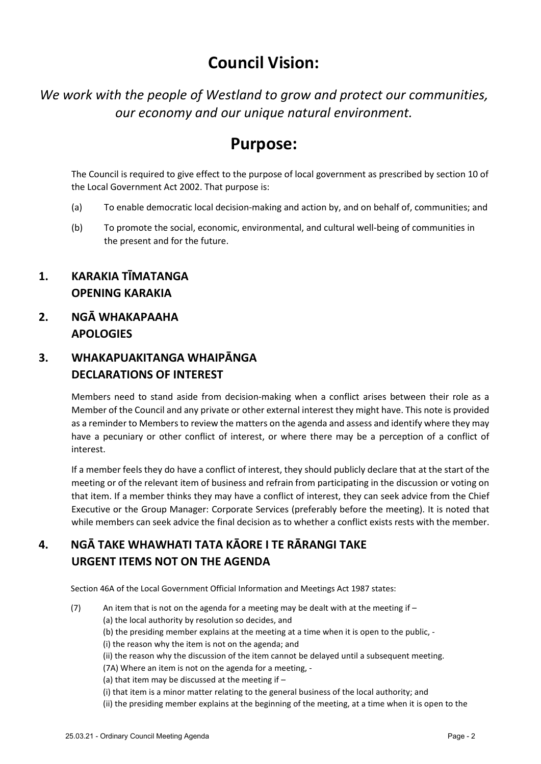## **Council Vision:**

*We work with the people of Westland to grow and protect our communities, our economy and our unique natural environment.* 

## **Purpose:**

The Council is required to give effect to the purpose of local government as prescribed by section 10 of the Local Government Act 2002. That purpose is:

- (a) To enable democratic local decision-making and action by, and on behalf of, communities; and
- (b) To promote the social, economic, environmental, and cultural well-being of communities in the present and for the future.
- **1. KARAKIA TĪMATANGA OPENING KARAKIA**
- **2. NGĀ WHAKAPAAHA APOLOGIES**

## **3. WHAKAPUAKITANGA WHAIPĀNGA DECLARATIONS OF INTEREST**

Members need to stand aside from decision-making when a conflict arises between their role as a Member of the Council and any private or other external interest they might have. This note is provided as a reminder to Members to review the matters on the agenda and assess and identify where they may have a pecuniary or other conflict of interest, or where there may be a perception of a conflict of interest.

If a member feels they do have a conflict of interest, they should publicly declare that at the start of the meeting or of the relevant item of business and refrain from participating in the discussion or voting on that item. If a member thinks they may have a conflict of interest, they can seek advice from the Chief Executive or the Group Manager: Corporate Services (preferably before the meeting). It is noted that while members can seek advice the final decision as to whether a conflict exists rests with the member.

## **4. NGĀ TAKE WHAWHATI TATA KĀORE I TE RĀRANGI TAKE URGENT ITEMS NOT ON THE AGENDA**

Section 46A of the Local Government Official Information and Meetings Act 1987 states:

- (7) An item that is not on the agenda for a meeting may be dealt with at the meeting if  $-$ 
	- (a) the local authority by resolution so decides, and
	- (b) the presiding member explains at the meeting at a time when it is open to the public, -
	- (i) the reason why the item is not on the agenda; and
	- (ii) the reason why the discussion of the item cannot be delayed until a subsequent meeting.
	- (7A) Where an item is not on the agenda for a meeting, -
	- (a) that item may be discussed at the meeting if –
	- (i) that item is a minor matter relating to the general business of the local authority; and
	- (ii) the presiding member explains at the beginning of the meeting, at a time when it is open to the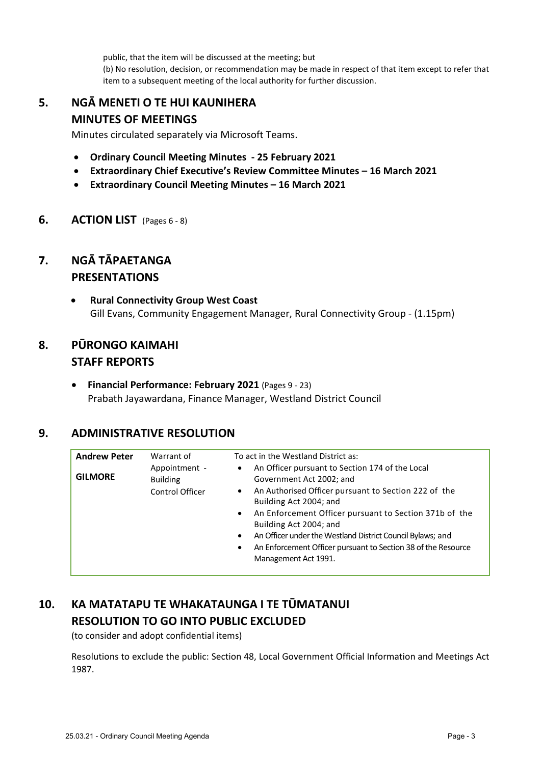public, that the item will be discussed at the meeting; but (b) No resolution, decision, or recommendation may be made in respect of that item except to refer that item to a subsequent meeting of the local authority for further discussion.

## **5. NGĀ MENETI O TE HUI KAUNIHERA MINUTES OF MEETINGS**

Minutes circulated separately via Microsoft Teams.

- **Ordinary Council Meeting Minutes 25 February 2021**
- **Extraordinary Chief Executive's Review Committee Minutes 16 March 2021**
- **Extraordinary Council Meeting Minutes 16 March 2021**
- **6. ACTION LIST** (Pages 6 ‐ 8)

## **7. NGĀ TĀPAETANGA PRESENTATIONS**

 **Rural Connectivity Group West Coast** Gill Evans, Community Engagement Manager, Rural Connectivity Group - (1.15pm)

## **8. PŪRONGO KAIMAHI STAFF REPORTS**

 **Financial Performance: February 2021** (Pages 9 ‐ 23) Prabath Jayawardana, Finance Manager, Westland District Council

#### **9. ADMINISTRATIVE RESOLUTION**

| <b>Andrew Peter</b> | Warrant of                                          | To act in the Westland District as:                                                                                                                                                                                                                                                                                                                                 |
|---------------------|-----------------------------------------------------|---------------------------------------------------------------------------------------------------------------------------------------------------------------------------------------------------------------------------------------------------------------------------------------------------------------------------------------------------------------------|
| <b>GILMORE</b>      | Appointment -<br><b>Building</b><br>Control Officer | An Officer pursuant to Section 174 of the Local<br>$\bullet$<br>Government Act 2002; and<br>An Authorised Officer pursuant to Section 222 of the<br>$\bullet$<br>Building Act 2004; and<br>An Enforcement Officer pursuant to Section 371b of the<br>$\bullet$<br>Building Act 2004; and<br>An Officer under the Westland District Council Bylaws; and<br>$\bullet$ |
|                     |                                                     | An Enforcement Officer pursuant to Section 38 of the Resource<br>$\bullet$<br>Management Act 1991.                                                                                                                                                                                                                                                                  |

## **10. KA MATATAPU TE WHAKATAUNGA I TE TŪMATANUI RESOLUTION TO GO INTO PUBLIC EXCLUDED**

(to consider and adopt confidential items)

Resolutions to exclude the public: Section 48, Local Government Official Information and Meetings Act 1987.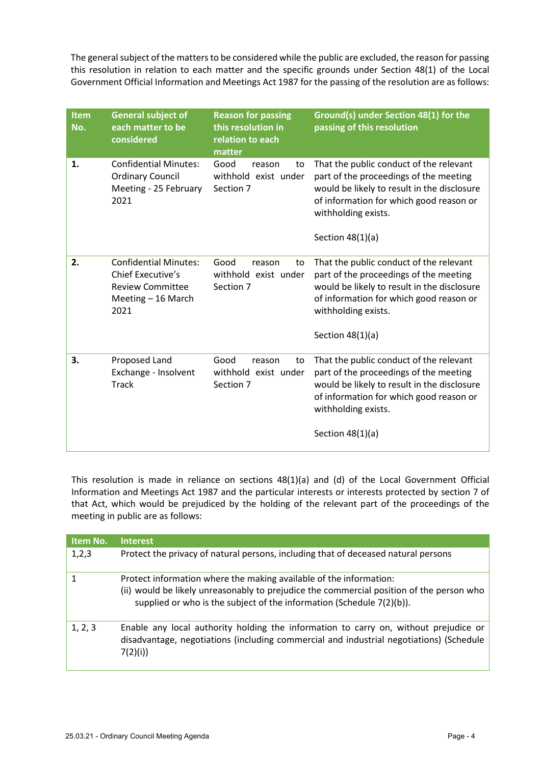The general subject of the matters to be considered while the public are excluded, the reason for passing this resolution in relation to each matter and the specific grounds under Section 48(1) of the Local Government Official Information and Meetings Act 1987 for the passing of the resolution are as follows:

| <b>Item</b><br>No. | <b>General subject of</b><br>each matter to be<br>considered                                                      | <b>Reason for passing</b><br>this resolution in<br>relation to each<br>matter | Ground(s) under Section 48(1) for the<br>passing of this resolution                                                                                                                                                      |
|--------------------|-------------------------------------------------------------------------------------------------------------------|-------------------------------------------------------------------------------|--------------------------------------------------------------------------------------------------------------------------------------------------------------------------------------------------------------------------|
| 1.                 | <b>Confidential Minutes:</b><br><b>Ordinary Council</b><br>Meeting - 25 February<br>2021                          | Good<br>reason<br>to<br>withhold exist under<br>Section 7                     | That the public conduct of the relevant<br>part of the proceedings of the meeting<br>would be likely to result in the disclosure<br>of information for which good reason or<br>withholding exists.<br>Section $48(1)(a)$ |
| 2.                 | <b>Confidential Minutes:</b><br><b>Chief Executive's</b><br><b>Review Committee</b><br>Meeting - 16 March<br>2021 | Good<br>reason<br>to<br>withhold exist under<br>Section 7                     | That the public conduct of the relevant<br>part of the proceedings of the meeting<br>would be likely to result in the disclosure<br>of information for which good reason or<br>withholding exists.<br>Section $48(1)(a)$ |
| 3.                 | Proposed Land<br>Exchange - Insolvent<br><b>Track</b>                                                             | Good<br>reason<br>to<br>withhold exist under<br>Section 7                     | That the public conduct of the relevant<br>part of the proceedings of the meeting<br>would be likely to result in the disclosure<br>of information for which good reason or<br>withholding exists.<br>Section $48(1)(a)$ |

This resolution is made in reliance on sections 48(1)(a) and (d) of the Local Government Official Information and Meetings Act 1987 and the particular interests or interests protected by section 7 of that Act, which would be prejudiced by the holding of the relevant part of the proceedings of the meeting in public are as follows:

| Item No. | <b>Interest</b>                                                                                                                                                                                                                         |
|----------|-----------------------------------------------------------------------------------------------------------------------------------------------------------------------------------------------------------------------------------------|
| 1,2,3    | Protect the privacy of natural persons, including that of deceased natural persons                                                                                                                                                      |
|          | Protect information where the making available of the information:<br>(ii) would be likely unreasonably to prejudice the commercial position of the person who<br>supplied or who is the subject of the information (Schedule 7(2)(b)). |
| 1, 2, 3  | Enable any local authority holding the information to carry on, without prejudice or<br>disadvantage, negotiations (including commercial and industrial negotiations) (Schedule<br>7(2)(i)                                              |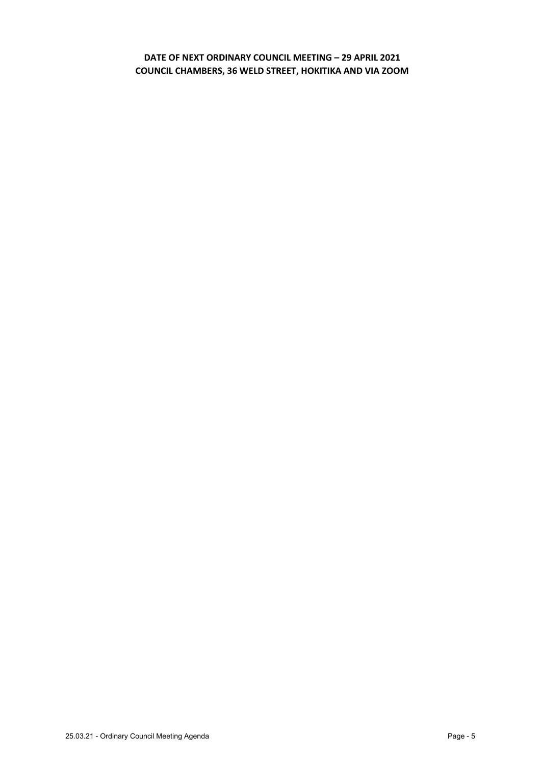#### **DATE OF NEXT ORDINARY COUNCIL MEETING – 29 APRIL 2021 COUNCIL CHAMBERS, 36 WELD STREET, HOKITIKA AND VIA ZOOM**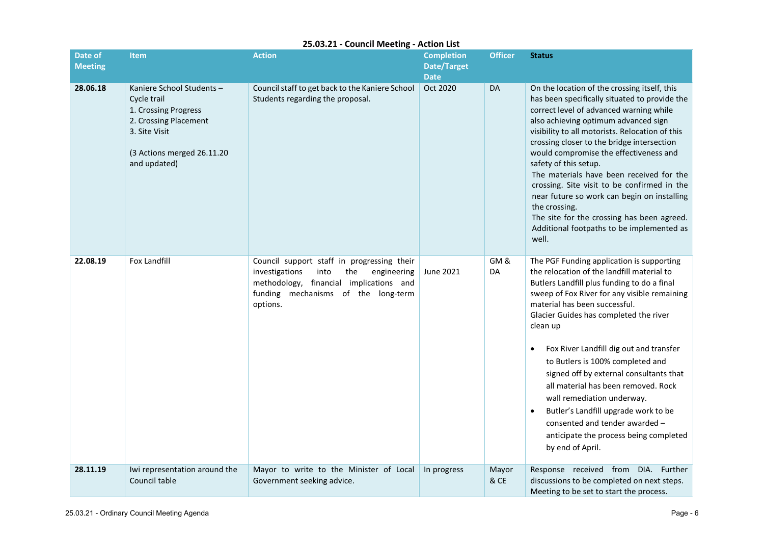#### **25.03.21 - Council Meeting - Action List**

| Date of<br><b>Meeting</b> | <b>Item</b>                                                                                                                                             | <b>Action</b>                                                                                                                                                                            | <b>Completion</b><br><b>Date/Target</b><br><b>Date</b> | <b>Officer</b> | <b>Status</b>                                                                                                                                                                                                                                                                                                                                                                                                                                                                                                                                                                                                                     |
|---------------------------|---------------------------------------------------------------------------------------------------------------------------------------------------------|------------------------------------------------------------------------------------------------------------------------------------------------------------------------------------------|--------------------------------------------------------|----------------|-----------------------------------------------------------------------------------------------------------------------------------------------------------------------------------------------------------------------------------------------------------------------------------------------------------------------------------------------------------------------------------------------------------------------------------------------------------------------------------------------------------------------------------------------------------------------------------------------------------------------------------|
| 28.06.18                  | Kaniere School Students-<br>Cycle trail<br>1. Crossing Progress<br>2. Crossing Placement<br>3. Site Visit<br>(3 Actions merged 26.11.20<br>and updated) | Council staff to get back to the Kaniere School<br>Students regarding the proposal.                                                                                                      | Oct 2020                                               | DA             | On the location of the crossing itself, this<br>has been specifically situated to provide the<br>correct level of advanced warning while<br>also achieving optimum advanced sign<br>visibility to all motorists. Relocation of this<br>crossing closer to the bridge intersection<br>would compromise the effectiveness and<br>safety of this setup.<br>The materials have been received for the<br>crossing. Site visit to be confirmed in the<br>near future so work can begin on installing<br>the crossing.<br>The site for the crossing has been agreed.<br>Additional footpaths to be implemented as<br>well.               |
| 22.08.19                  | <b>Fox Landfill</b>                                                                                                                                     | Council support staff in progressing their<br>investigations<br>into<br>the<br>engineering<br>methodology, financial implications and<br>funding mechanisms of the long-term<br>options. | June 2021                                              | GM&<br>DA      | The PGF Funding application is supporting<br>the relocation of the landfill material to<br>Butlers Landfill plus funding to do a final<br>sweep of Fox River for any visible remaining<br>material has been successful.<br>Glacier Guides has completed the river<br>clean up<br>Fox River Landfill dig out and transfer<br>$\bullet$<br>to Butlers is 100% completed and<br>signed off by external consultants that<br>all material has been removed. Rock<br>wall remediation underway.<br>Butler's Landfill upgrade work to be<br>consented and tender awarded -<br>anticipate the process being completed<br>by end of April. |
| 28.11.19                  | Iwi representation around the<br>Council table                                                                                                          | Mayor to write to the Minister of Local<br>Government seeking advice.                                                                                                                    | In progress                                            | Mayor<br>& CE  | Response received from DIA. Further<br>discussions to be completed on next steps.<br>Meeting to be set to start the process.                                                                                                                                                                                                                                                                                                                                                                                                                                                                                                      |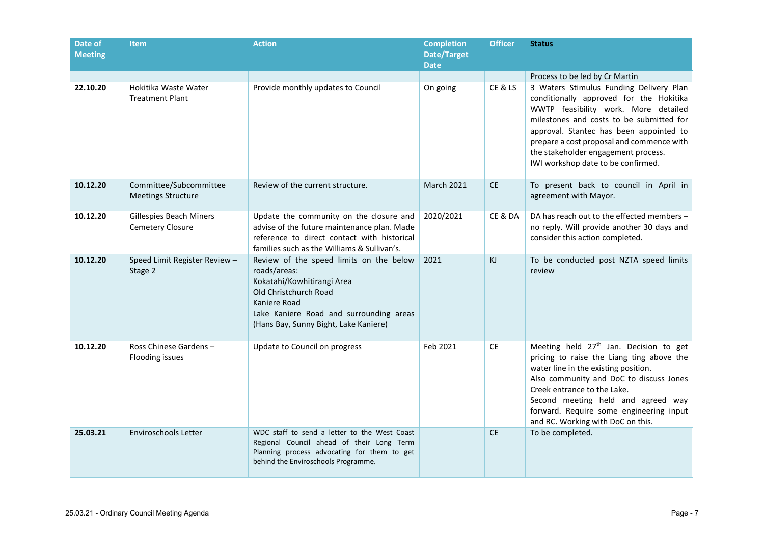| Date of<br><b>Meeting</b> | <b>Item</b>                                         | <b>Action</b>                                                                                                                                                                                                      | <b>Completion</b><br><b>Date/Target</b><br><b>Date</b> | <b>Officer</b> | <b>Status</b>                                                                                                                                                                                                                                                                                                                               |
|---------------------------|-----------------------------------------------------|--------------------------------------------------------------------------------------------------------------------------------------------------------------------------------------------------------------------|--------------------------------------------------------|----------------|---------------------------------------------------------------------------------------------------------------------------------------------------------------------------------------------------------------------------------------------------------------------------------------------------------------------------------------------|
|                           |                                                     |                                                                                                                                                                                                                    |                                                        |                | Process to be led by Cr Martin                                                                                                                                                                                                                                                                                                              |
| 22.10.20                  | Hokitika Waste Water<br><b>Treatment Plant</b>      | Provide monthly updates to Council                                                                                                                                                                                 | On going                                               | CE&LS          | 3 Waters Stimulus Funding Delivery Plan<br>conditionally approved for the Hokitika<br>WWTP feasibility work. More detailed<br>milestones and costs to be submitted for<br>approval. Stantec has been appointed to<br>prepare a cost proposal and commence with<br>the stakeholder engagement process.<br>IWI workshop date to be confirmed. |
| 10.12.20                  | Committee/Subcommittee<br><b>Meetings Structure</b> | Review of the current structure.                                                                                                                                                                                   | <b>March 2021</b>                                      | <b>CE</b>      | To present back to council in April in<br>agreement with Mayor.                                                                                                                                                                                                                                                                             |
| 10.12.20                  | Gillespies Beach Miners<br>Cemetery Closure         | Update the community on the closure and<br>advise of the future maintenance plan. Made<br>reference to direct contact with historical<br>families such as the Williams & Sullivan's.                               | 2020/2021                                              | CE & DA        | DA has reach out to the effected members -<br>no reply. Will provide another 30 days and<br>consider this action completed.                                                                                                                                                                                                                 |
| 10.12.20                  | Speed Limit Register Review -<br>Stage 2            | Review of the speed limits on the below<br>roads/areas:<br>Kokatahi/Kowhitirangi Area<br>Old Christchurch Road<br>Kaniere Road<br>Lake Kaniere Road and surrounding areas<br>(Hans Bay, Sunny Bight, Lake Kaniere) | 2021                                                   | KJ.            | To be conducted post NZTA speed limits<br>review                                                                                                                                                                                                                                                                                            |
| 10.12.20                  | Ross Chinese Gardens-<br>Flooding issues            | Update to Council on progress                                                                                                                                                                                      | Feb 2021                                               | <b>CE</b>      | Meeting held 27 <sup>th</sup> Jan. Decision to get<br>pricing to raise the Liang ting above the<br>water line in the existing position.<br>Also community and DoC to discuss Jones<br>Creek entrance to the Lake.<br>Second meeting held and agreed way<br>forward. Require some engineering input<br>and RC. Working with DoC on this.     |
| 25.03.21                  | Enviroschools Letter                                | WDC staff to send a letter to the West Coast<br>Regional Council ahead of their Long Term<br>Planning process advocating for them to get<br>behind the Enviroschools Programme.                                    |                                                        | <b>CE</b>      | To be completed.                                                                                                                                                                                                                                                                                                                            |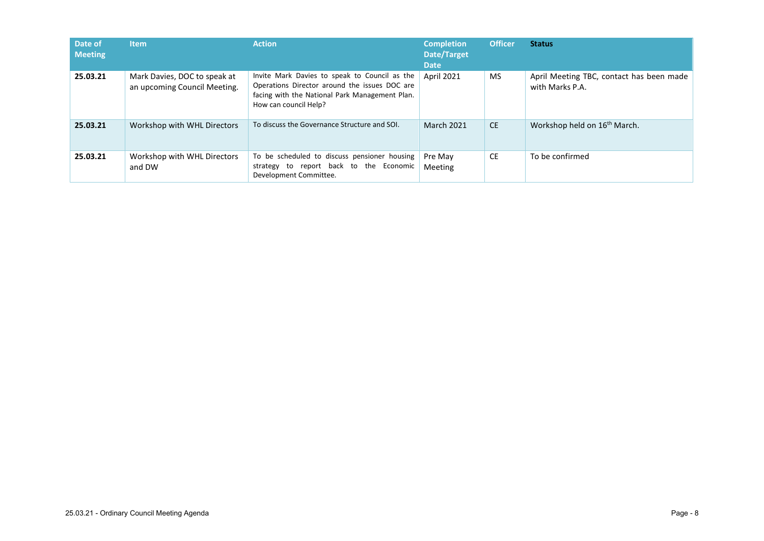| Date of<br><b>Meeting</b> | <b>Item</b>                                                  | <b>Action</b>                                                                                                                                                             | <b>Completion</b><br>Date/Target<br><b>Date</b> | <b>Officer</b> | <b>Status</b>                                               |
|---------------------------|--------------------------------------------------------------|---------------------------------------------------------------------------------------------------------------------------------------------------------------------------|-------------------------------------------------|----------------|-------------------------------------------------------------|
| 25.03.21                  | Mark Davies, DOC to speak at<br>an upcoming Council Meeting. | Invite Mark Davies to speak to Council as the<br>Operations Director around the issues DOC are<br>facing with the National Park Management Plan.<br>How can council Help? | April 2021                                      | <b>MS</b>      | April Meeting TBC, contact has been made<br>with Marks P.A. |
| 25.03.21                  | Workshop with WHL Directors                                  | To discuss the Governance Structure and SOI.                                                                                                                              | <b>March 2021</b>                               | <b>CE</b>      | Workshop held on 16 <sup>th</sup> March.                    |
| 25.03.21                  | Workshop with WHL Directors<br>and DW                        | To be scheduled to discuss pensioner housing<br>strategy to report back to the Economic<br>Development Committee.                                                         | Pre May<br><b>Meeting</b>                       | <b>CE</b>      | To be confirmed                                             |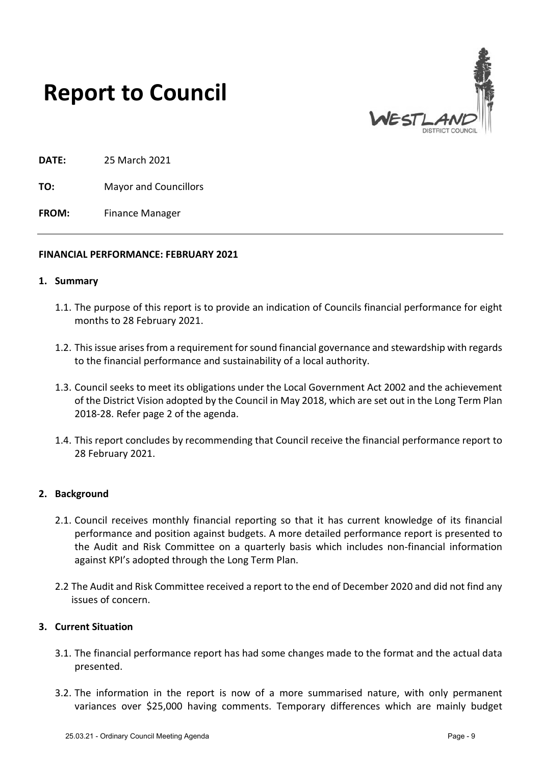

## **Report to Council**

**DATE:** 25 March 2021

**TO:** Mayor and Councillors

**FROM:** Finance Manager

#### **FINANCIAL PERFORMANCE: FEBRUARY 2021**

#### **1. Summary**

- 1.1. The purpose of this report is to provide an indication of Councils financial performance for eight months to 28 February 2021.
- 1.2. This issue arises from a requirement for sound financial governance and stewardship with regards to the financial performance and sustainability of a local authority.
- 1.3. Council seeks to meet its obligations under the Local Government Act 2002 and the achievement of the District Vision adopted by the Council in May 2018, which are set out in the Long Term Plan 2018-28. Refer page 2 of the agenda.
- 1.4. This report concludes by recommending that Council receive the financial performance report to 28 February 2021.

#### **2. Background**

- 2.1. Council receives monthly financial reporting so that it has current knowledge of its financial performance and position against budgets. A more detailed performance report is presented to the Audit and Risk Committee on a quarterly basis which includes non-financial information against KPI's adopted through the Long Term Plan.
- 2.2 The Audit and Risk Committee received a report to the end of December 2020 and did not find any issues of concern.

#### **3. Current Situation**

- 3.1. The financial performance report has had some changes made to the format and the actual data presented.
- 3.2. The information in the report is now of a more summarised nature, with only permanent variances over \$25,000 having comments. Temporary differences which are mainly budget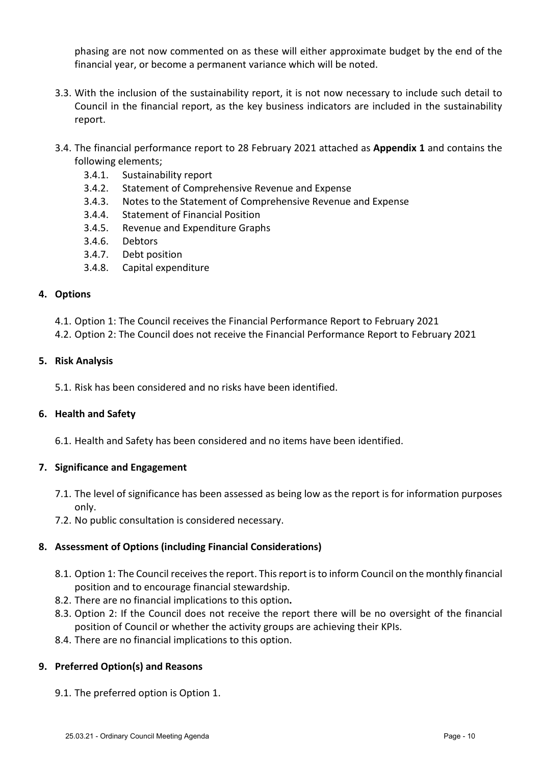phasing are not now commented on as these will either approximate budget by the end of the financial year, or become a permanent variance which will be noted.

- 3.3. With the inclusion of the sustainability report, it is not now necessary to include such detail to Council in the financial report, as the key business indicators are included in the sustainability report.
- 3.4. The financial performance report to 28 February 2021 attached as **Appendix 1** and contains the following elements;
	- 3.4.1. Sustainability report
	- 3.4.2. Statement of Comprehensive Revenue and Expense
	- 3.4.3. Notes to the Statement of Comprehensive Revenue and Expense
	- 3.4.4. Statement of Financial Position
	- 3.4.5. Revenue and Expenditure Graphs
	- 3.4.6. Debtors
	- 3.4.7. Debt position
	- 3.4.8. Capital expenditure

#### **4. Options**

- 4.1. Option 1: The Council receives the Financial Performance Report to February 2021
- 4.2. Option 2: The Council does not receive the Financial Performance Report to February 2021

#### **5. Risk Analysis**

5.1. Risk has been considered and no risks have been identified.

#### **6. Health and Safety**

6.1. Health and Safety has been considered and no items have been identified.

#### **7. Significance and Engagement**

- 7.1. The level of significance has been assessed as being low as the report is for information purposes only.
- 7.2. No public consultation is considered necessary.

#### **8. Assessment of Options (including Financial Considerations)**

- 8.1. Option 1: The Council receives the report. This report is to inform Council on the monthly financial position and to encourage financial stewardship.
- 8.2. There are no financial implications to this option**.**
- 8.3. Option 2: If the Council does not receive the report there will be no oversight of the financial position of Council or whether the activity groups are achieving their KPIs.
- 8.4. There are no financial implications to this option.

#### **9. Preferred Option(s) and Reasons**

9.1. The preferred option is Option 1.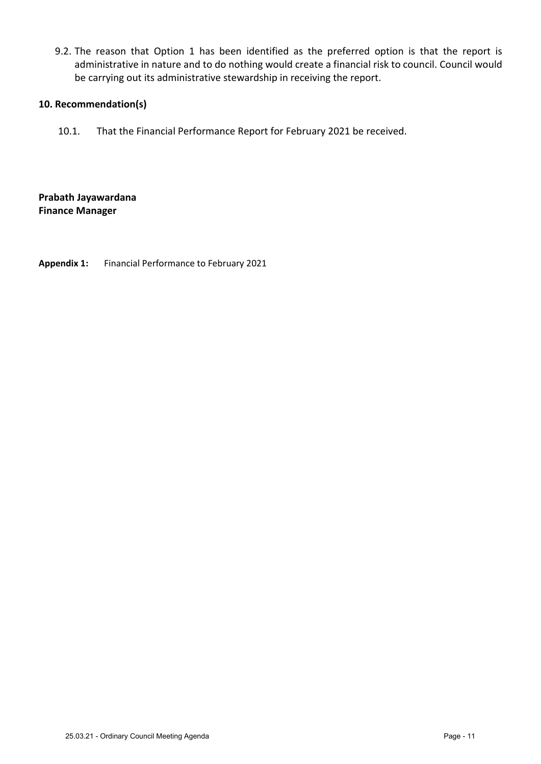9.2. The reason that Option 1 has been identified as the preferred option is that the report is administrative in nature and to do nothing would create a financial risk to council. Council would be carrying out its administrative stewardship in receiving the report.

#### **10. Recommendation(s)**

10.1. That the Financial Performance Report for February 2021 be received.

**Prabath Jayawardana Finance Manager** 

**Appendix 1:** Financial Performance to February 2021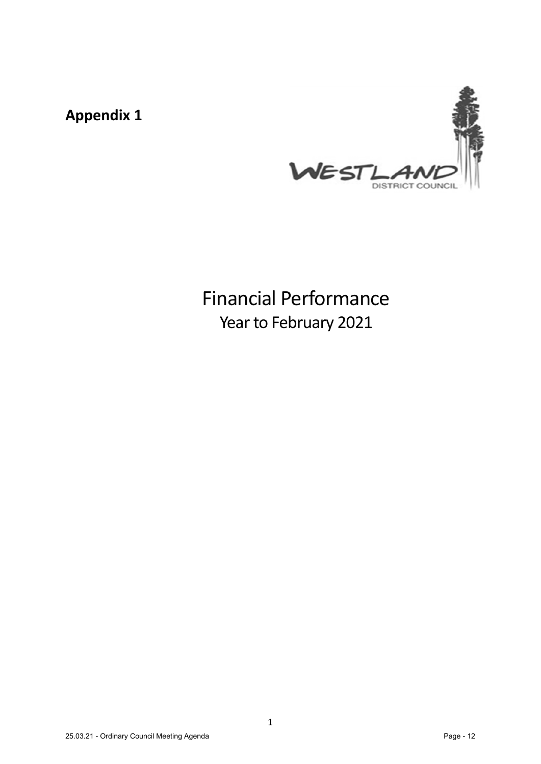**Appendix 1**



## Financial Performance Year to February 2021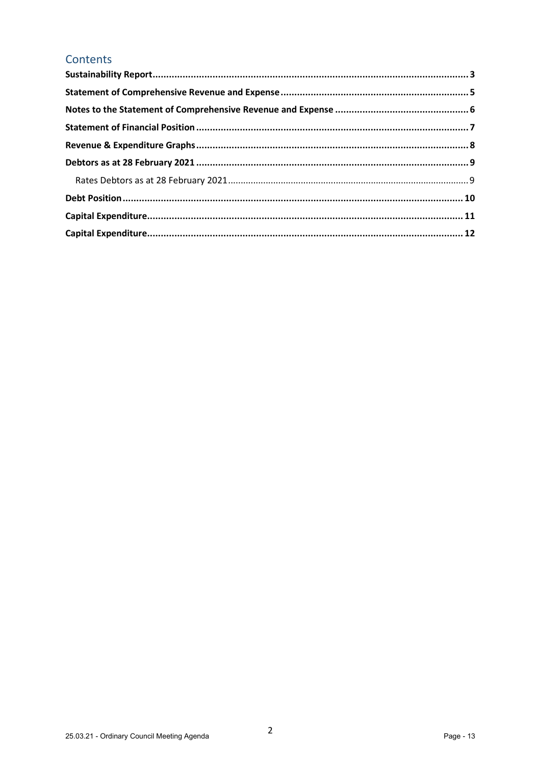## Contents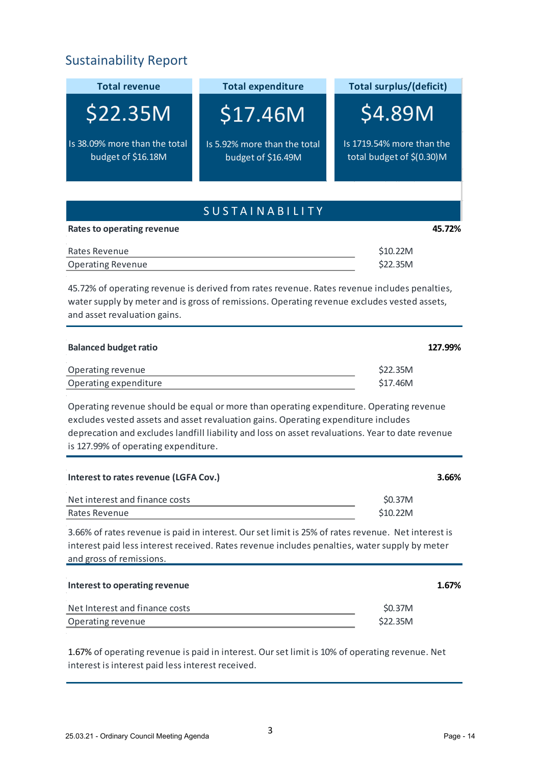## Sustainability Report

| <b>Total revenue</b>                                | <b>Total expenditure</b>                           | <b>Total surplus/(deficit)</b>                           |  |
|-----------------------------------------------------|----------------------------------------------------|----------------------------------------------------------|--|
| \$22.35M                                            | \$17.46M                                           | \$4.89M                                                  |  |
| Is 38.09% more than the total<br>budget of \$16.18M | Is 5.92% more than the total<br>budget of \$16.49M | Is 1719.54% more than the<br>total budget of $$(0.30)$ M |  |

## S U S T A I N A B I L I T Y

| Rates to operating revenue | 45.72% |
|----------------------------|--------|
|                            |        |

45.72% of operating revenue is derived from rates revenue. Rates revenue includes penalties, water supply by meter and is gross of remissions. Operating revenue excludes vested assets, and asset revaluation gains.

| <b>Balanced budget ratio</b> | 127.99%  |
|------------------------------|----------|
| Operating revenue            | \$22.35M |
| Operating expenditure        | \$17.46M |

Operating revenue should be equal or more than operating expenditure. Operating revenue excludes vested assets and asset revaluation gains. Operating expenditure includes deprecation and excludes landfill liability and loss on asset revaluations. Year to date revenue is 127.99% of operating expenditure.

| Interest to rates revenue (LGFA Cov.) |  |
|---------------------------------------|--|
| Net interest and finance costs        |  |
| Rates Revenue                         |  |

3.66% of rates revenue is paid in interest. Our set limit is 25% of rates revenue. Net interest is interest paid less interest received. Rates revenue includes penalties, water supply by meter and gross of remissions.

| Interest to operating revenue  | .67% |  |
|--------------------------------|------|--|
| Net Interest and finance costs |      |  |
| Operating revenue              |      |  |

1.67% of operating revenue is paid in interest. Our set limit is 10% of operating revenue. Net interest is interest paid less interest received.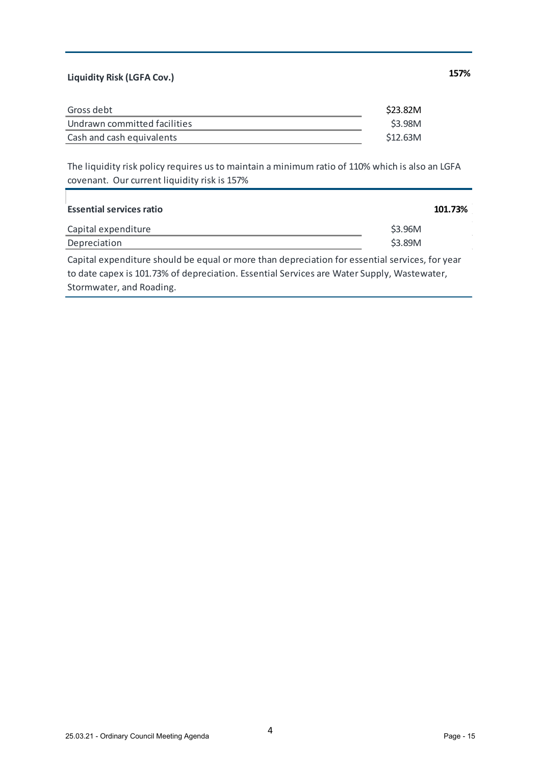## **Liquidity Risk (LGFA Cov.) 157%**

| Undrawn committed facilities |  |
|------------------------------|--|
| Cash and cash equivalents    |  |

The liquidity risk policy requires us to maintain a minimum ratio of 110% which is also an LGFA covenant. Our current liquidity risk is 157%

| 101.73% |  |
|---------|--|
|         |  |
| S3.89M  |  |
|         |  |

Capital expenditure should be equal or more than depreciation for essential services, for year to date capex is 101.73% of depreciation. Essential Services are Water Supply, Wastewater, Stormwater, and Roading.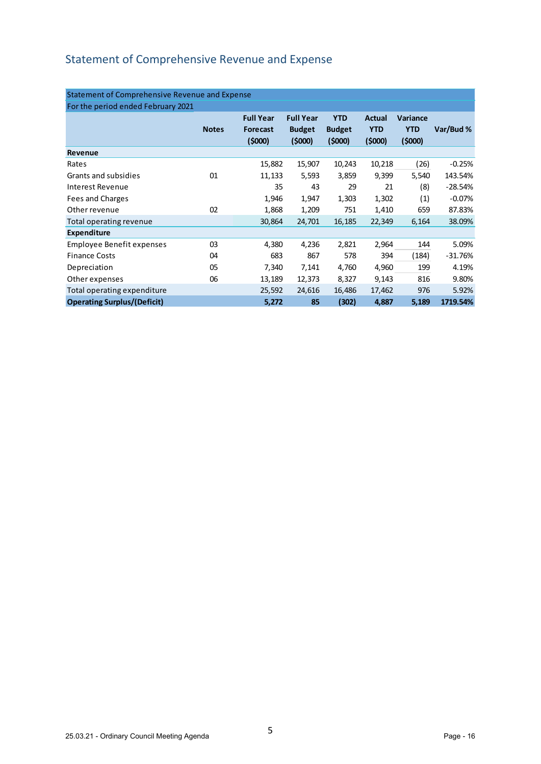## Statement of Comprehensive Revenue and Expense

| Statement of Comprehensive Revenue and Expense |              |                            |                          |                         |                      |                      |           |
|------------------------------------------------|--------------|----------------------------|--------------------------|-------------------------|----------------------|----------------------|-----------|
| For the period ended February 2021             |              |                            |                          |                         |                      |                      |           |
|                                                |              | <b>Full Year</b>           | <b>Full Year</b>         | <b>YTD</b>              | <b>Actual</b>        | Variance             |           |
|                                                | <b>Notes</b> | <b>Forecast</b><br>(\$000) | <b>Budget</b><br>(\$000) | <b>Budget</b><br>(5000) | <b>YTD</b><br>(5000) | <b>YTD</b><br>(5000) | Var/Bud % |
| Revenue                                        |              |                            |                          |                         |                      |                      |           |
| Rates                                          |              | 15,882                     | 15,907                   | 10,243                  | 10,218               | (26)                 | $-0.25%$  |
| Grants and subsidies                           | 01           | 11,133                     | 5,593                    | 3,859                   | 9,399                | 5,540                | 143.54%   |
| <b>Interest Revenue</b>                        |              | 35                         | 43                       | 29                      | 21                   | (8)                  | $-28.54%$ |
| Fees and Charges                               |              | 1,946                      | 1,947                    | 1,303                   | 1,302                | (1)                  | $-0.07%$  |
| Other revenue                                  | 02           | 1,868                      | 1,209                    | 751                     | 1,410                | 659                  | 87.83%    |
| Total operating revenue                        |              | 30,864                     | 24,701                   | 16,185                  | 22,349               | 6,164                | 38.09%    |
| <b>Expenditure</b>                             |              |                            |                          |                         |                      |                      |           |
| <b>Employee Benefit expenses</b>               | 03           | 4,380                      | 4,236                    | 2,821                   | 2,964                | 144                  | 5.09%     |
| <b>Finance Costs</b>                           | 04           | 683                        | 867                      | 578                     | 394                  | (184)                | $-31.76%$ |
| Depreciation                                   | 05           | 7,340                      | 7,141                    | 4,760                   | 4,960                | 199                  | 4.19%     |
| Other expenses                                 | 06           | 13,189                     | 12,373                   | 8,327                   | 9,143                | 816                  | 9.80%     |
| Total operating expenditure                    |              | 25,592                     | 24,616                   | 16,486                  | 17,462               | 976                  | 5.92%     |
| <b>Operating Surplus/(Deficit)</b>             |              | 5,272                      | 85                       | (302)                   | 4,887                | 5,189                | 1719.54%  |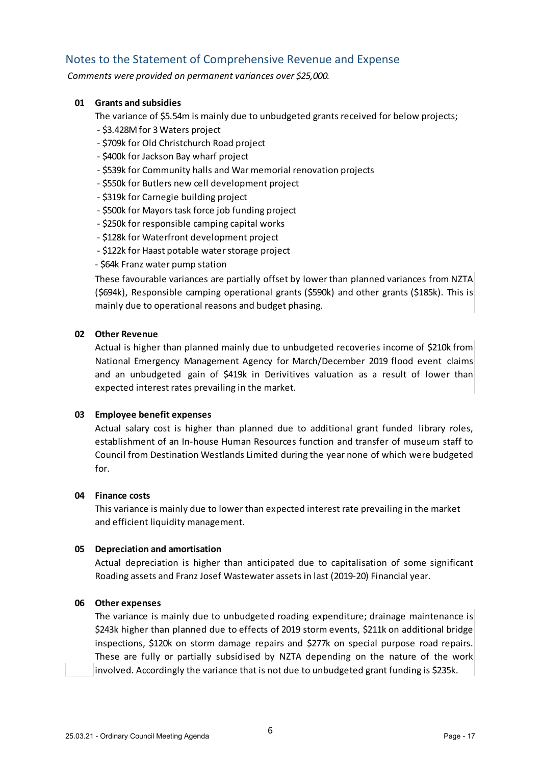## Notes to the Statement of Comprehensive Revenue and Expense

*Comments were provided on permanent variances over \$25,000.*

#### **01 Grants and subsidies**

The variance of \$5.54m is mainly due to unbudgeted grants received for below projects;

- \$3.428M for 3 Waters project
- \$709k for Old Christchurch Road project
- \$400k for Jackson Bay wharf project
- \$539k for Community halls and War memorial renovation projects
- \$550k for Butlers new cell development project
- \$319k for Carnegie building project
- \$500k for Mayors task force job funding project
- \$250k for responsible camping capital works
- \$128k for Waterfront development project
- \$122k for Haast potable water storage project
- \$64k Franz water pump station

These favourable variances are partially offset by lower than planned variances from NZTA (\$694k), Responsible camping operational grants (\$590k) and other grants (\$185k). This is mainly due to operational reasons and budget phasing.

#### **02 Other Revenue**

Actual is higher than planned mainly due to unbudgeted recoveries income of \$210k from National Emergency Management Agency for March/December 2019 flood event claims and an unbudgeted gain of \$419k in Derivitives valuation as a result of lower than expected interest rates prevailing in the market.

#### **03 Employee benefit expenses**

Actual salary cost is higher than planned due to additional grant funded library roles, establishment of an In-house Human Resources function and transfer of museum staff to Council from Destination Westlands Limited during the year none of which were budgeted for.

#### **04 Finance costs**

This variance is mainly due to lower than expected interest rate prevailing in the market and efficient liquidity management.

#### **05 Depreciation and amortisation**

Actual depreciation is higher than anticipated due to capitalisation of some significant Roading assets and Franz Josef Wastewater assets in last (2019-20) Financial year.

#### **06 Other expenses**

The variance is mainly due to unbudgeted roading expenditure; drainage maintenance is \$243k higher than planned due to effects of 2019 storm events, \$211k on additional bridge inspections, \$120k on storm damage repairs and \$277k on special purpose road repairs. These are fully or partially subsidised by NZTA depending on the nature of the work involved. Accordingly the variance that is not due to unbudgeted grant funding is \$235k.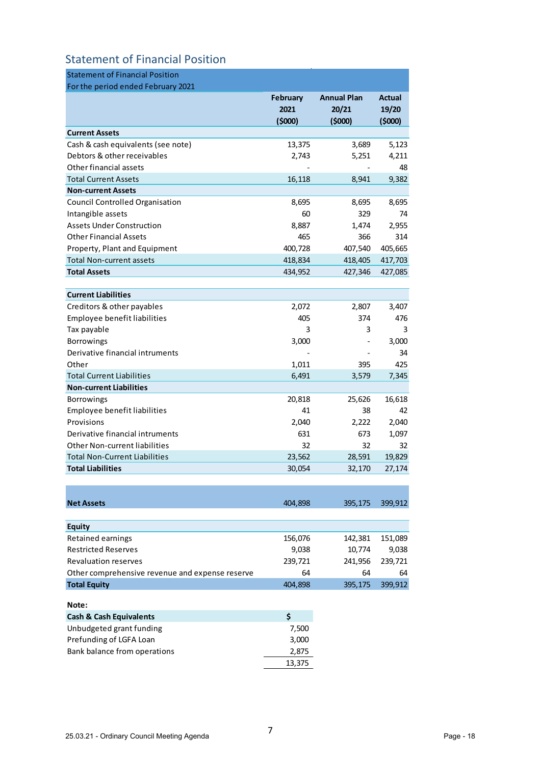## Statement of Financial Position

| <b>Statement of Financial Position</b>                                 |                 |                    |               |
|------------------------------------------------------------------------|-----------------|--------------------|---------------|
| For the period ended February 2021                                     |                 |                    |               |
|                                                                        | <b>February</b> | <b>Annual Plan</b> | Actual        |
|                                                                        | 2021            | 20/21              | 19/20         |
|                                                                        | (5000)          | (5000)             | (5000)        |
| <b>Current Assets</b>                                                  |                 |                    |               |
| Cash & cash equivalents (see note)                                     | 13,375          | 3,689              | 5,123         |
| Debtors & other receivables<br>Other financial assets                  | 2,743           | 5,251              | 4,211         |
|                                                                        |                 |                    | 48            |
| <b>Total Current Assets</b>                                            | 16,118          | 8,941              | 9,382         |
| <b>Non-current Assets</b>                                              |                 |                    |               |
| <b>Council Controlled Organisation</b>                                 | 8,695           | 8,695              | 8,695         |
| Intangible assets                                                      | 60              | 329                | 74            |
| <b>Assets Under Construction</b>                                       | 8,887           | 1,474              | 2,955         |
| <b>Other Financial Assets</b>                                          | 465             | 366                | 314           |
| Property, Plant and Equipment                                          | 400,728         | 407,540            | 405,665       |
| <b>Total Non-current assets</b>                                        | 418,834         | 418,405            | 417,703       |
| <b>Total Assets</b>                                                    | 434,952         | 427,346            | 427,085       |
|                                                                        |                 |                    |               |
| <b>Current Liabilities</b>                                             | 2,072           |                    |               |
| Creditors & other payables                                             | 405             | 2,807<br>374       | 3,407         |
| Employee benefit liabilities                                           |                 |                    | 476           |
| Tax payable                                                            | 3               | 3                  | 3             |
| <b>Borrowings</b>                                                      | 3,000           |                    | 3,000         |
| Derivative financial intruments                                        |                 |                    | 34            |
| Other                                                                  | 1,011           | 395                | 425           |
| <b>Total Current Liabilities</b>                                       | 6,491           | 3,579              | 7,345         |
| <b>Non-current Liabilities</b>                                         |                 |                    |               |
| <b>Borrowings</b>                                                      | 20,818          | 25,626             | 16,618        |
| Employee benefit liabilities                                           | 41              | 38                 | 42            |
| Provisions                                                             | 2,040           | 2,222              | 2,040         |
| Derivative financial intruments                                        | 631             | 673                | 1,097         |
| Other Non-current liabilities                                          | 32              | 32                 | 32            |
| <b>Total Non-Current Liabilities</b>                                   | 23,562          | 28,591             | 19,829        |
| <b>Total Liabilities</b>                                               | 30,054          | 32,170             | 27,174        |
|                                                                        |                 |                    |               |
|                                                                        |                 |                    |               |
| <b>Net Assets</b>                                                      | 404,898         | 395,175            | 399,912       |
| <b>Equity</b>                                                          |                 |                    |               |
| <b>Retained earnings</b>                                               | 156,076         | 142,381            | 151,089       |
| <b>Restricted Reserves</b>                                             | 9,038           | 10,774             | 9,038         |
| Revaluation reserves                                                   | 239,721         | 241,956            | 239,721       |
|                                                                        | 64              |                    |               |
| Other comprehensive revenue and expense reserve<br><b>Total Equity</b> | 404,898         | 64<br>395,175      | 64<br>399,912 |
|                                                                        |                 |                    |               |
| Note:                                                                  |                 |                    |               |
| <b>Cash &amp; Cash Equivalents</b>                                     | \$              |                    |               |
| Unbudgeted grant funding                                               | 7,500           |                    |               |
| Prefunding of LGFA Loan                                                | 3,000           |                    |               |
| Bank balance from operations                                           | 2,875           |                    |               |
|                                                                        | 13,375          |                    |               |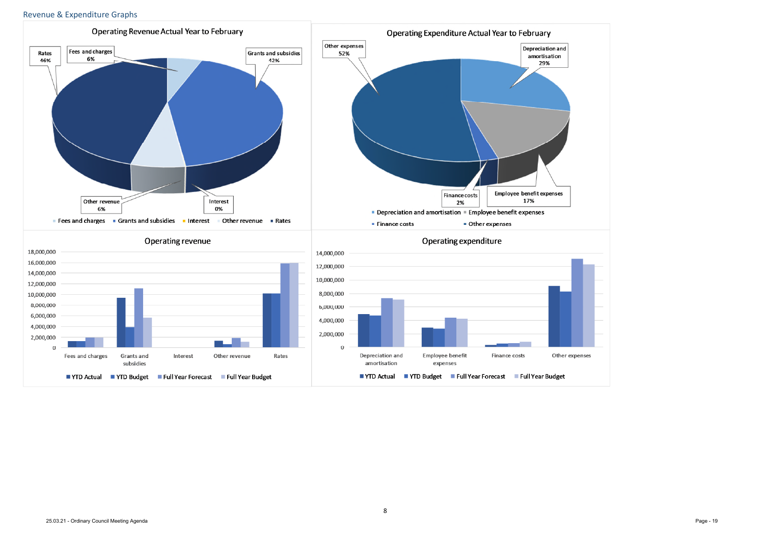### Revenue & Expenditure Graphs

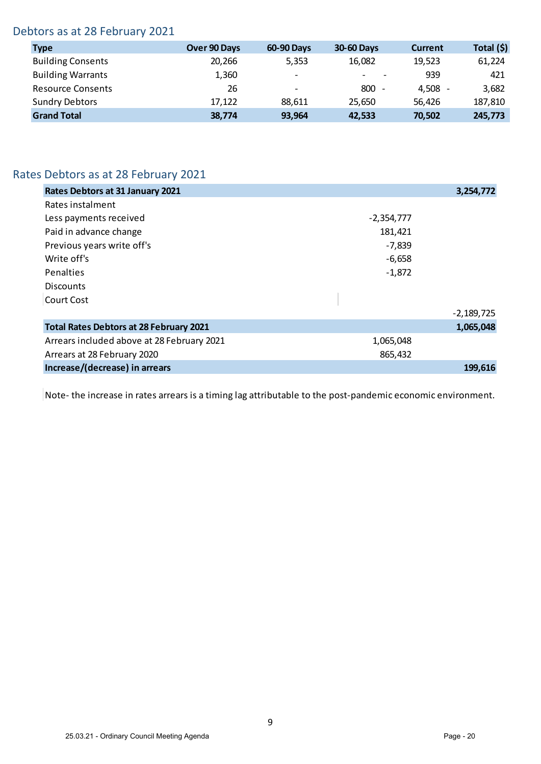## Debtors as at 28 February 2021

| <b>Type</b>              | Over 90 Days | <b>60-90 Days</b>        | <b>30-60 Days</b> | <b>Current</b> | Total $(5)$ |
|--------------------------|--------------|--------------------------|-------------------|----------------|-------------|
| <b>Building Consents</b> | 20,266       | 5,353                    | 16,082            | 19,523         | 61,224      |
| <b>Building Warrants</b> | 1,360        | $\overline{\phantom{a}}$ |                   | 939            | 421         |
| <b>Resource Consents</b> | 26           | $\overline{\phantom{a}}$ | 800               | 4,508          | 3,682       |
| <b>Sundry Debtors</b>    | 17,122       | 88,611                   | 25,650            | 56,426         | 187,810     |
| <b>Grand Total</b>       | 38,774       | 93,964                   | 42,533            | 70,502         | 245,773     |

## Rates Debtors as at 28 February 2021

| <b>Rates Debtors at 31 January 2021</b>        |              | 3,254,772    |
|------------------------------------------------|--------------|--------------|
| Rates instalment                               |              |              |
| Less payments received                         | $-2,354,777$ |              |
| Paid in advance change                         | 181,421      |              |
| Previous years write off's                     | $-7,839$     |              |
| Write off's                                    | $-6,658$     |              |
| <b>Penalties</b>                               | $-1,872$     |              |
| <b>Discounts</b>                               |              |              |
| Court Cost                                     |              |              |
|                                                |              | $-2,189,725$ |
| <b>Total Rates Debtors at 28 February 2021</b> |              | 1,065,048    |
| Arrears included above at 28 February 2021     | 1,065,048    |              |
| Arrears at 28 February 2020                    | 865,432      |              |
| Increase/(decrease) in arrears                 |              | 199,616      |

Note- the increase in rates arrears is a timing lag attributable to the post-pandemic economic environment.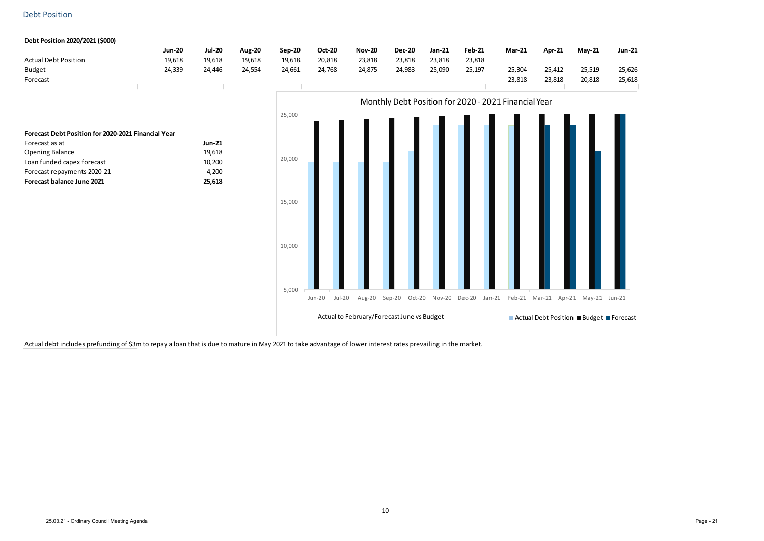

#### Debt Position

Actual debt includes prefunding of \$3m to repay a loan that is due to mature in May 2021 to take advantage of lower interest rates prevailing in the market.

| Debt Position 2020/2021 (\$000)                     |               |               |               |               |                      |               |                                            |        |                                                      |               |                                            |               |               |
|-----------------------------------------------------|---------------|---------------|---------------|---------------|----------------------|---------------|--------------------------------------------|--------|------------------------------------------------------|---------------|--------------------------------------------|---------------|---------------|
|                                                     | <b>Jun-20</b> | <b>Jul-20</b> | <b>Aug-20</b> | <b>Sep-20</b> | <b>Oct-20</b>        | <b>Nov-20</b> | <b>Dec-20</b>                              | Jan-21 | <b>Feb-21</b>                                        | <b>Mar-21</b> | <b>Apr-21</b>                              | $May-21$      | <b>Jun-21</b> |
| <b>Actual Debt Position</b>                         | 19,618        | 19,618        | 19,618        | 19,618        | 20,818               | 23,818        | 23,818                                     | 23,818 | 23,818                                               |               |                                            |               |               |
| <b>Budget</b>                                       | 24,339        | 24,446        | 24,554        | 24,661        | 24,768               | 24,875        | 24,983                                     | 25,090 | 25,197                                               | 25,304        | 25,412                                     | 25,519        | 25,626        |
| Forecast                                            |               |               |               |               |                      |               |                                            |        |                                                      | 23,818        | 23,818                                     | 20,818        | 25,618        |
|                                                     |               |               |               |               |                      |               |                                            |        |                                                      |               |                                            |               |               |
|                                                     |               |               |               |               |                      |               |                                            |        | Monthly Debt Position for 2020 - 2021 Financial Year |               |                                            |               |               |
|                                                     |               |               |               | 25,000        |                      |               |                                            |        |                                                      |               |                                            |               |               |
| Forecast Debt Position for 2020-2021 Financial Year |               |               |               |               |                      |               |                                            |        |                                                      |               |                                            |               |               |
| Forecast as at                                      |               | <b>Jun-21</b> |               |               |                      |               |                                            |        |                                                      |               |                                            |               |               |
| <b>Opening Balance</b>                              |               | 19,618        |               | 20,000        |                      |               |                                            |        |                                                      |               |                                            |               |               |
| Loan funded capex forecast                          |               | 10,200        |               |               |                      |               |                                            |        |                                                      |               |                                            |               |               |
| Forecast repayments 2020-21                         |               | $-4,200$      |               |               |                      |               |                                            |        |                                                      |               |                                            |               |               |
| Forecast balance June 2021                          |               | 25,618        |               |               |                      |               |                                            |        |                                                      |               |                                            |               |               |
|                                                     |               |               |               |               |                      |               |                                            |        |                                                      |               |                                            |               |               |
|                                                     |               |               |               | 15,000        |                      |               |                                            |        |                                                      |               |                                            |               |               |
|                                                     |               |               |               |               |                      |               |                                            |        |                                                      |               |                                            |               |               |
|                                                     |               |               |               |               |                      |               |                                            |        |                                                      |               |                                            |               |               |
|                                                     |               |               |               |               |                      |               |                                            |        |                                                      |               |                                            |               |               |
|                                                     |               |               |               | 10,000        |                      |               |                                            |        |                                                      |               |                                            |               |               |
|                                                     |               |               |               |               |                      |               |                                            |        |                                                      |               |                                            |               |               |
|                                                     |               |               |               |               |                      |               |                                            |        |                                                      |               |                                            |               |               |
|                                                     |               |               |               |               |                      |               |                                            |        |                                                      |               |                                            |               |               |
|                                                     |               |               |               | 5,000         |                      |               |                                            |        |                                                      |               |                                            |               |               |
|                                                     |               |               |               |               | $Jul-20$<br>$Jun-20$ | Aug-20        | Sep-20<br>Oct-20                           | Nov-20 | <b>Dec-20</b><br>$Jan-21$                            | Feb-21 Mar-21 |                                            | Apr-21 May-21 | $Jun-21$      |
|                                                     |               |               |               |               |                      |               |                                            |        |                                                      |               |                                            |               |               |
|                                                     |               |               |               |               |                      |               | Actual to February/Forecast June vs Budget |        |                                                      |               | ■ Actual Debt Position ■ Budget ■ Forecast |               |               |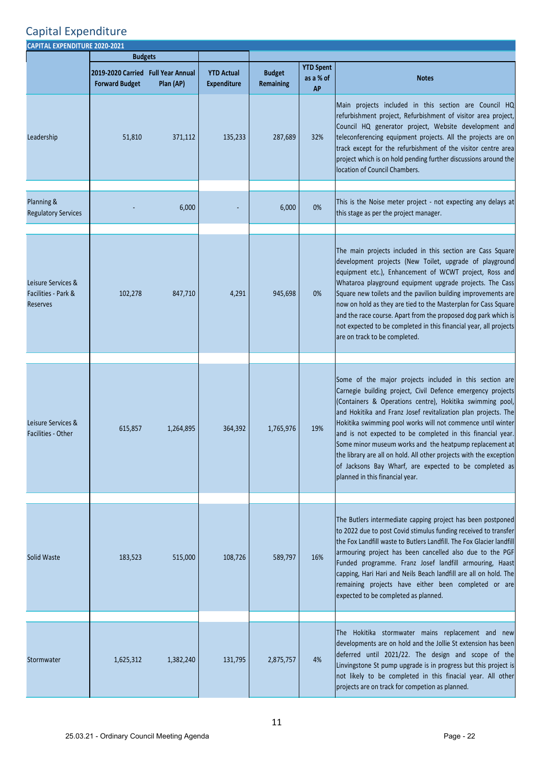## Capital Expenditure

| <b>CAPITAL EXPENDITURE 2020-2021</b>                         |                                                             |           |                                         |                            |                                            |                                                                                                                                                                                                                                                                                                                                                                                                                                                                                                                                                                                                                   |
|--------------------------------------------------------------|-------------------------------------------------------------|-----------|-----------------------------------------|----------------------------|--------------------------------------------|-------------------------------------------------------------------------------------------------------------------------------------------------------------------------------------------------------------------------------------------------------------------------------------------------------------------------------------------------------------------------------------------------------------------------------------------------------------------------------------------------------------------------------------------------------------------------------------------------------------------|
|                                                              | <b>Budgets</b>                                              |           |                                         |                            |                                            |                                                                                                                                                                                                                                                                                                                                                                                                                                                                                                                                                                                                                   |
|                                                              | 2019-2020 Carried Full Year Annual<br><b>Forward Budget</b> | Plan (AP) | <b>YTD Actual</b><br><b>Expenditure</b> | <b>Budget</b><br>Remaining | <b>YTD Spent</b><br>as a % of<br><b>AP</b> | <b>Notes</b>                                                                                                                                                                                                                                                                                                                                                                                                                                                                                                                                                                                                      |
| Leadership                                                   | 51,810                                                      | 371,112   | 135,233                                 | 287,689                    | 32%                                        | Main projects included in this section are Council HQ<br>refurbishment project, Refurbishment of visitor area project,<br>Council HQ generator project, Website development and<br>teleconferencing equipment projects. All the projects are on<br>track except for the refurbishment of the visitor centre area<br>project which is on hold pending further discussions around the<br>location of Council Chambers.                                                                                                                                                                                              |
| Planning &<br><b>Regulatory Services</b>                     |                                                             | 6,000     |                                         | 6,000                      | 0%                                         | This is the Noise meter project - not expecting any delays at<br>this stage as per the project manager.                                                                                                                                                                                                                                                                                                                                                                                                                                                                                                           |
| Leisure Services &<br>Facilities - Park &<br><b>Reserves</b> | 102,278                                                     | 847,710   | 4,291                                   | 945,698                    | 0%                                         | The main projects included in this section are Cass Square<br>development projects (New Toilet, upgrade of playground<br>equipment etc.), Enhancement of WCWT project, Ross and<br>Whataroa playground equipment upgrade projects. The Cass<br>Square new toilets and the pavilion building improvements are<br>now on hold as they are tied to the Masterplan for Cass Square<br>and the race course. Apart from the proposed dog park which is<br>not expected to be completed in this financial year, all projects<br>are on track to be completed.                                                            |
| Leisure Services &<br>Facilities - Other                     | 615,857                                                     | 1,264,895 | 364,392                                 | 1,765,976                  | 19%                                        | Some of the major projects included in this section are<br>Carnegie building project, Civil Defence emergency projects<br>(Containers & Operations centre), Hokitika swimming pool,<br>and Hokitika and Franz Josef revitalization plan projects. The<br>Hokitika swimming pool works will not commence until winter<br>and is not expected to be completed in this financial year.<br>Some minor museum works and the heatpump replacement at<br>the library are all on hold. All other projects with the exception<br>of Jacksons Bay Wharf, are expected to be completed as<br>planned in this financial year. |
| Solid Waste                                                  | 183,523                                                     | 515,000   | 108,726                                 | 589,797                    | 16%                                        | The Butlers intermediate capping project has been postponed<br>to 2022 due to post Covid stimulus funding received to transfer<br>the Fox Landfill waste to Butlers Landfill. The Fox Glacier landfill<br>armouring project has been cancelled also due to the PGF<br>Funded programme. Franz Josef landfill armouring, Haast<br>capping, Hari Hari and Neils Beach landfill are all on hold. The<br>remaining projects have either been completed or are<br>expected to be completed as planned.                                                                                                                 |
| Stormwater                                                   | 1,625,312                                                   | 1,382,240 | 131,795                                 | 2,875,757                  | 4%                                         | The Hokitika stormwater mains replacement and new<br>developments are on hold and the Jollie St extension has been<br>deferred until 2021/22. The design and scope of the<br>Linvingstone St pump upgrade is in progress but this project is<br>not likely to be completed in this finacial year. All other<br>projects are on track for competion as planned.                                                                                                                                                                                                                                                    |